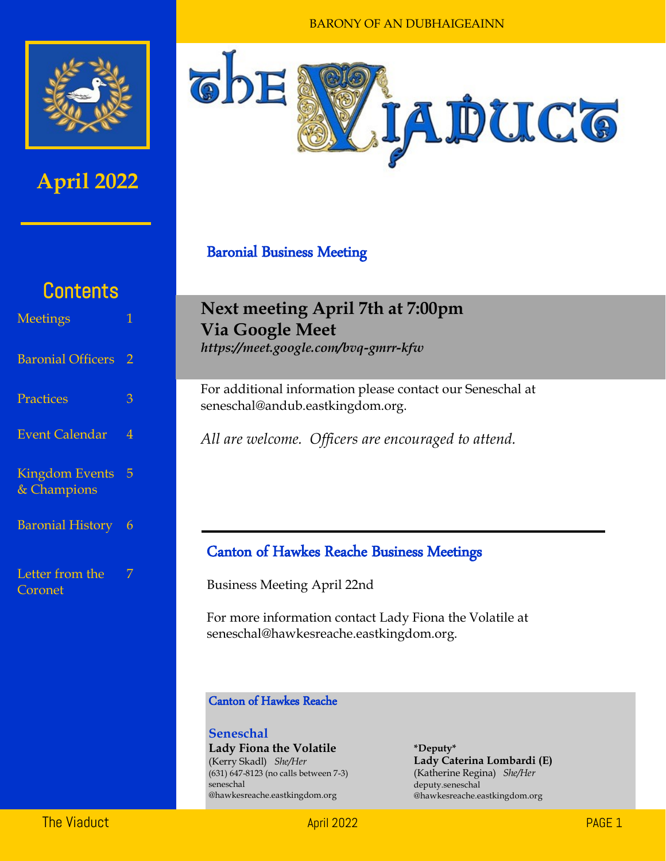

## **April 2022**



#### Baronial Business Meeting

# **Contents**

| <b>Meetings</b>                      |                |
|--------------------------------------|----------------|
| <b>Baronial Officers</b>             | $\overline{2}$ |
| Practices                            | 3              |
| <b>Event Calendar</b>                | $\overline{4}$ |
| <b>Kingdom Events</b><br>& Champions | 5              |
| <b>Baronial History</b>              | 6              |
| Letter from the<br>Coronet           | 7              |

## **Next meeting April 7th at 7:00pm Via Google Meet**

*https://meet.google.com/bvq-gmrr-kfw* 

For additional information please contact our Seneschal at seneschal@andub.eastkingdom.org.

*All are welcome. Officers are encouraged to attend.* 

#### Canton of Hawkes Reache Business Meetings

Business Meeting April 22nd

For more information contact Lady Fiona the Volatile at seneschal@hawkesreache.eastkingdom.org.

#### Canton of Hawkes Reache

**Seneschal Lady Fiona the Volatile** (Kerry Skadl) *She/Her* (631) 647-8123 (no calls between 7-3) seneschal @hawkesreache.eastkingdom.org

**\*Deputy\* Lady Caterina Lombardi (E)** (Katherine Regina) *She/Her* deputy.seneschal @hawkesreache.eastkingdom.org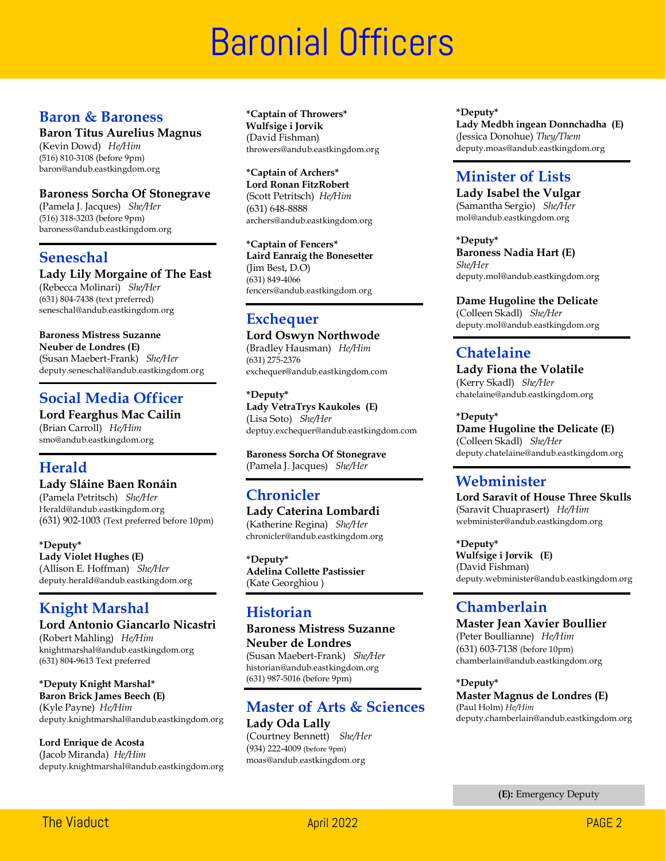# **Baronial Officers**

#### **Baron & Baroness**

#### **Baron Titus Aurelius Magnus**

(Kevin Dowd) *He/Him* (516) 810-3108 (before 9pm) baron@andub.eastkingdom.org

#### **Baroness Sorcha Of Stonegrave**

(Pamela J. Jacques) *She/Her* (516) 318-3203 (before 9pm) baroness@andub.eastkingdom.org

#### **Seneschal**

#### **Lady Lily Morgaine of The East**

(Rebecca Molinari) *She/Her* (631) 804-7438 (text preferred) seneschal@andub.eastkingdom.org

#### **Baroness Mistress Suzanne**

**Neuber de Londres (E)** (Susan Maebert-Frank) *She/Her* deputy.seneschal@andub.eastkingdom.org

#### **Social Media Officer**

**Lord Fearghus Mac Cailin** (Brian Carroll) *He/Him* smo@andub.eastkingdom.org

#### **Herald**

#### **Lady Sláine Baen Ronáin** (Pamela Petritsch) *She/Her* Herald@andub.eastkingdom.org (631) 902-1003 (Text preferred before 10pm)

**\*Deputy\* Lady Violet Hughes (E)** (Allison E. Hoffman) *She/Her* deputy.herald@andub.eastkingdom.org

### **Knight Marshal**

**Lord Antonio Giancarlo Nicastri** (Robert Mahling) *He/Him* knightmarshal@andub.eastkingdom.org (631) 804-9613 Text preferred

**\*Deputy Knight Marshal\* Baron Brick James Beech (E)** (Kyle Payne) *He/Him* deputy.knightmarshal@andub.eastkingdom.org

**Lord Enrique de Acosta** (Jacob Miranda) *He/Him* deputy.knightmarshal@andub.eastkingdom.org **\*Captain of Throwers\* Wulfsige i Jorvik**  (David Fishman) throwers@andub.eastkingdom.org

**\*Captain of Archers\* Lord Ronan FitzRobert** (Scott Petritsch) *He/Him* (631) 648-8888 archers@andub.eastkingdom.org

**\*Captain of Fencers\* Laird Eanraig the Bonesetter** (Jim Best, D.O) (631) 849-4066 fencers@andub.eastkingdom.org

### **Exchequer**

**Lord Oswyn Northwode** (Bradley Hausman) *He/Him* (631) 275-2376 exchequer@andub.eastkingdom.com

**\*Deputy\* Lady VetraTrys Kaukoles (E)** (Lisa Soto) *She/Her* deptuy.exchequer@andub.eastkingdom.com

**Baroness Sorcha Of Stonegrave** (Pamela J. Jacques) *She/Her*

### **Chronicler**

**Lady Caterina Lombardi**  (Katherine Regina) *She/Her* chronicler@andub.eastkingdom.org

**\*Deputy\* Adelina Collette Pastissier** (Kate Georghiou )

#### **Historian**

**Baroness Mistress Suzanne Neuber de Londres** (Susan Maebert-Frank) *She/Her* historian@andub.eastkingdom.org (631) 987-5016 (before 9pm)

#### **Master of Arts & Sciences Lady Oda Lally**

(Courtney Bennett) *She/Her* (934) 222-4009 (before 9pm) moas@andub.eastkingdom.org

**\*Deputy\* Lady Medbh ingean Donnchadha (E)** (Jessica Donohue) *They/Them* deputy.moas@andub.eastkingdom.org

#### **Minister of Lists**

**Lady Isabel the Vulgar** (Samantha Sergio) *She/Her* mol@andub.eastkingdom.org

**\*Deputy\* Baroness Nadia Hart (E)** *She/Her* deputy.mol@andub.eastkingdom.org

#### **Dame Hugoline the Delicate**

(Colleen Skadl) *She/Her* deputy.mol@andub.eastkingdom.org

### **Chatelaine**

**Lady Fiona the Volatile**  (Kerry Skadl) *She/Her* chatelaine@andub.eastkingdom.org

**\*Deputy\***

**Dame Hugoline the Delicate (E)** (Colleen Skadl) *She/Her* deputy.chatelaine@andub.eastkingdom.org

#### **Webminister**

**Lord Saravit of House Three Skulls** (Saravit Chuaprasert) *He/Him* webminister@andub.eastkingdom.org

**\*Deputy\* Wulfsige i Jorvik (E)** (David Fishman) deputy.webminister@andub.eastkingdom.org

#### **Chamberlain**

**Master Jean Xavier Boullier** (Peter Boullianne) *He/Him* (631) 603-7138 (before 10pm) chamberlain@andub.eastkingdom.org

**\*Deputy\* Master Magnus de Londres (E)** (Paul Holm) *He/Him* deputy.chamberlain@andub.eastkingdom.org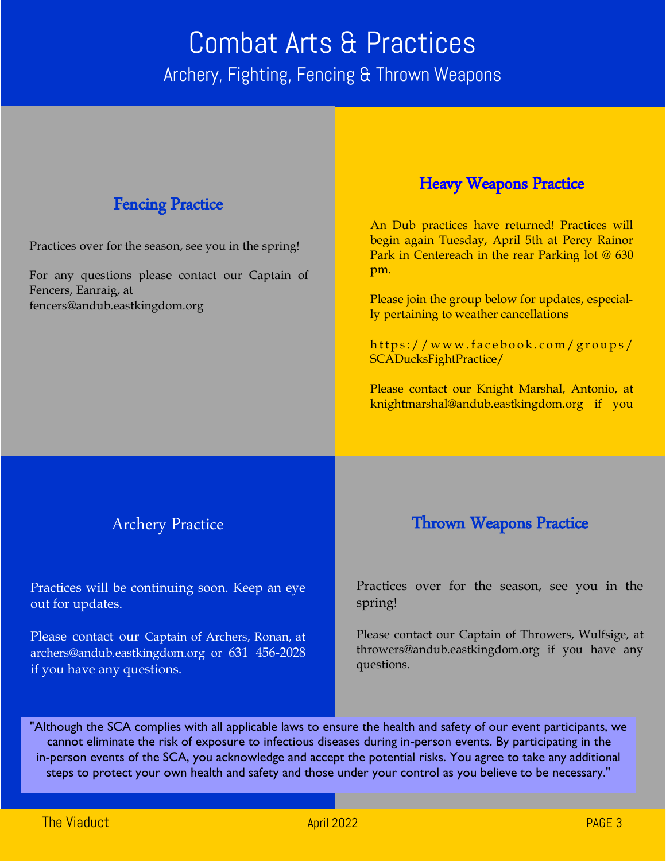## Combat Arts & Practices Archery, Fighting, Fencing & Thrown Weapons

#### Fencing Practice

Practices over for the season, see you in the spring!

For any questions please contact our Captain of Fencers, Eanraig, at fencers@andub.eastkingdom.org

#### Heavy Weapons Practice

An Dub practices have returned! Practices will begin again Tuesday, April 5th at Percy Rainor Park in Centereach in the rear Parking lot @ 630 pm.

Please join the group below for updates, especially pertaining to weather cancellations

https://www.facebook.com/groups/ SCADucksFightPractice/

Please contact our Knight Marshal, Antonio, at knightmarshal@andub.eastkingdom.org if you

#### Archery Practice

Practices will be continuing soon. Keep an eye out for updates.

Please contact our Captain of Archers, Ronan, at archers@andub.eastkingdom.org or 631 456-2028 if you have any questions.

#### Thrown Weapons Practice

Practices over for the season, see you in the spring!

Please contact our Captain of Throwers, Wulfsige, at throwers@andub.eastkingdom.org if you have any questions.

"Although the SCA complies with all applicable laws to ensure the health and safety of our event participants, we cannot eliminate the risk of exposure to infectious diseases during in-person events. By participating in the in-person events of the SCA, you acknowledge and accept the potential risks. You agree to take any additional steps to protect your own health and safety and those under your control as you believe to be necessary."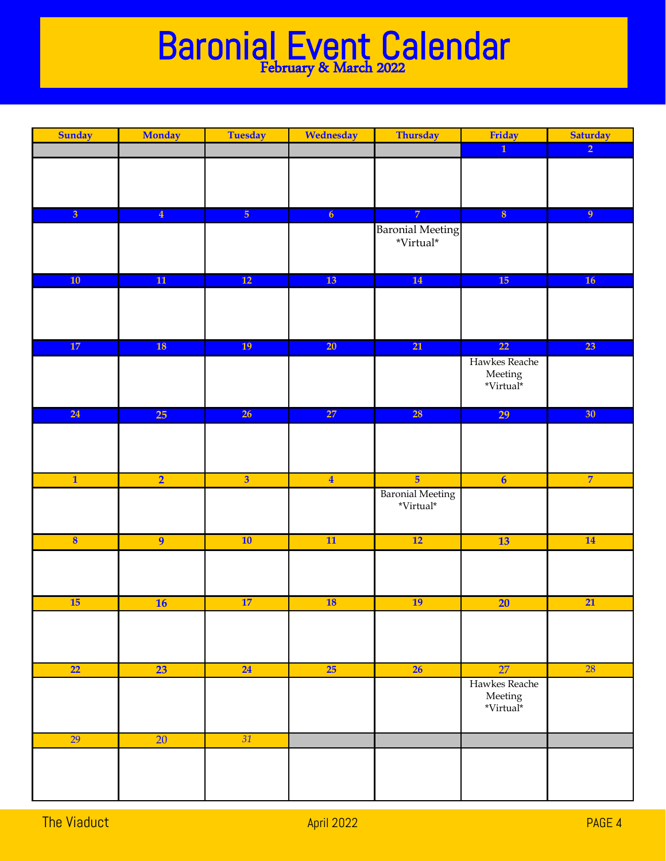## Baronial Event Calendar February & March 2022

| <b>Sunday</b>           | <b>Monday</b>   | <b>Tuesday</b>          | Wednesday      | <b>Thursday</b>         | Friday                              | <b>Saturday</b> |
|-------------------------|-----------------|-------------------------|----------------|-------------------------|-------------------------------------|-----------------|
|                         |                 |                         |                |                         | $\overline{1}$                      | $\overline{2}$  |
|                         |                 |                         |                |                         |                                     |                 |
|                         |                 |                         |                |                         |                                     |                 |
|                         |                 |                         |                |                         |                                     |                 |
|                         |                 |                         |                |                         |                                     |                 |
| $\overline{\mathbf{3}}$ | $\overline{4}$  | $\overline{5}$          | 6 <sup>1</sup> | $\overline{7}$          | $\overline{\mathbf{8}}$             | 9 <sup>°</sup>  |
|                         |                 |                         |                | <b>Baronial Meeting</b> |                                     |                 |
|                         |                 |                         |                | $^*\mathrm{Virtual}^*$  |                                     |                 |
|                         |                 |                         |                |                         |                                     |                 |
| 10                      |                 | 12                      | 13             |                         | 15                                  |                 |
|                         | ${\bf 11}$      |                         |                | 14                      |                                     | 16              |
|                         |                 |                         |                |                         |                                     |                 |
|                         |                 |                         |                |                         |                                     |                 |
|                         |                 |                         |                |                         |                                     |                 |
| $17\,$                  | <b>18</b>       | 19                      | 20             | $\overline{21}$         | $\overline{22}$                     | 23              |
|                         |                 |                         |                |                         | Hawkes Reache                       |                 |
|                         |                 |                         |                |                         | ${\rm Meeting}$                     |                 |
|                         |                 |                         |                |                         | *Virtual*                           |                 |
|                         |                 |                         |                |                         |                                     |                 |
| 24                      | 25              | 26                      | 27             | <b>28</b>               | 29                                  | 30 <sup>°</sup> |
|                         |                 |                         |                |                         |                                     |                 |
|                         |                 |                         |                |                         |                                     |                 |
|                         |                 |                         |                |                         |                                     |                 |
|                         |                 |                         |                |                         |                                     |                 |
| $\overline{\mathbf{1}}$ | $\overline{2}$  | $\overline{\mathbf{3}}$ | $\overline{4}$ | $\overline{5}$          | $\overline{\mathbf{6}}$             | $\overline{7}$  |
|                         |                 |                         |                | <b>Baronial Meeting</b> |                                     |                 |
|                         |                 |                         |                | $^*\!V\!irtual^*$       |                                     |                 |
|                         |                 |                         |                |                         |                                     |                 |
| $\boldsymbol{8}$        | $\overline{9}$  | 10                      | 11             | 12                      | 13                                  | 14              |
|                         |                 |                         |                |                         |                                     |                 |
|                         |                 |                         |                |                         |                                     |                 |
|                         |                 |                         |                |                         |                                     |                 |
|                         |                 |                         |                |                         |                                     |                 |
| <b>15</b>               | <b>16</b>       | 17                      | <b>18</b>      | 19                      | $\overline{20}$                     | 21              |
|                         |                 |                         |                |                         |                                     |                 |
|                         |                 |                         |                |                         |                                     |                 |
|                         |                 |                         |                |                         |                                     |                 |
|                         |                 |                         |                |                         |                                     |                 |
| 22                      | 23              | 24                      | 25             | 26                      | 27                                  | <b>28</b>       |
|                         |                 |                         |                |                         | Hawkes Reache                       |                 |
|                         |                 |                         |                |                         | ${\rm Meeting} \\ {\bf ``Virtual*}$ |                 |
|                         |                 |                         |                |                         |                                     |                 |
|                         |                 |                         |                |                         |                                     |                 |
| 29                      | $\overline{20}$ | 31                      |                |                         |                                     |                 |
|                         |                 |                         |                |                         |                                     |                 |
|                         |                 |                         |                |                         |                                     |                 |
|                         |                 |                         |                |                         |                                     |                 |
|                         |                 |                         |                |                         |                                     |                 |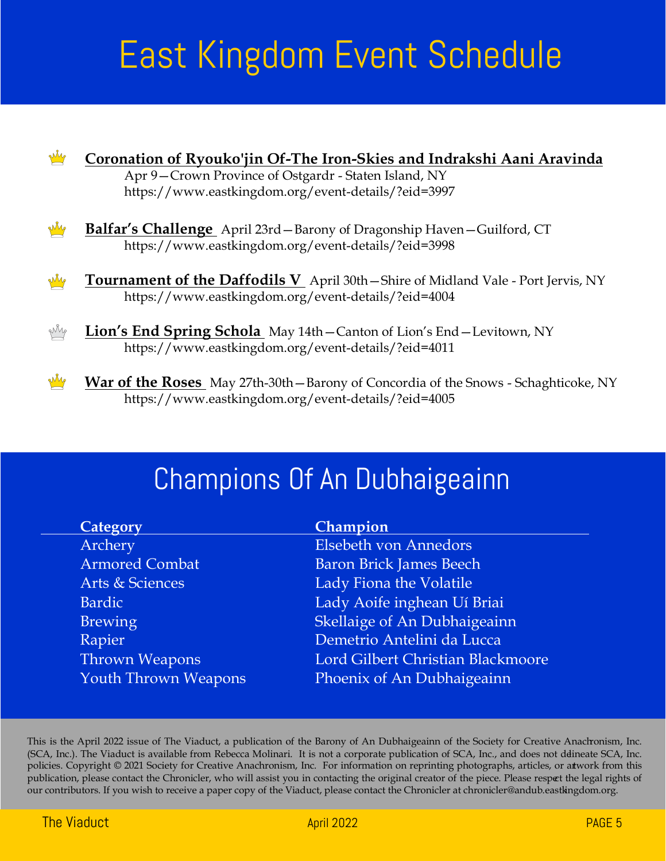# East Kingdom Event Schedule



# Champions Of An Dubhaigeainn

| Category                    | Champion                          |
|-----------------------------|-----------------------------------|
| Archery                     | <b>Elsebeth von Annedors</b>      |
| <b>Armored Combat</b>       | <b>Baron Brick James Beech</b>    |
| Arts & Sciences             | Lady Fiona the Volatile           |
| <b>Bardic</b>               | Lady Aoife inghean Uí Briai       |
| <b>Brewing</b>              | Skellaige of An Dubhaigeainn      |
| Rapier                      | Demetrio Antelini da Lucca        |
| Thrown Weapons              | Lord Gilbert Christian Blackmoore |
| <b>Youth Thrown Weapons</b> | Phoenix of An Dubhaigeainn        |
|                             |                                   |

This is the April 2022 issue of The Viaduct, a publication of the Barony of An Dubhaigeainn of the Society for Creative Anachronism, Inc. (SCA, Inc.). The Viaduct is available from Rebecca Molinari. It is not a corporate publication of SCA, Inc., and does not ddineate SCA, Inc. policies. Copyright © 2021 Society for Creative Anachronism, Inc. For information on reprinting photographs, articles, or artwork from this publication, please contact the Chronicler, who will assist you in contacting the original creator of the piece. Please respect the legal rights of our contributors. If you wish to receive a paper copy of the Viaduct, please contact the Chronicler at chronicler@andub.eastkingdom.org.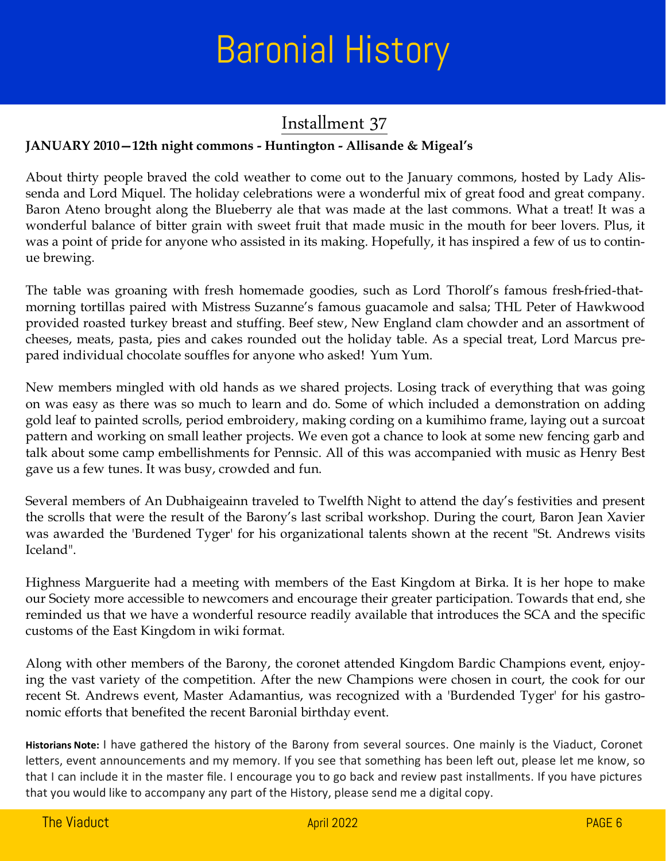# Baronial History

## Installment 37

#### **JANUARY 2010—12th night commons - Huntington - Allisande & Migeal's**

About thirty people braved the cold weather to come out to the January commons, hosted by Lady Alissenda and Lord Miquel. The holiday celebrations were a wonderful mix of great food and great company. Baron Ateno brought along the Blueberry ale that was made at the last commons. What a treat! It was a wonderful balance of bitter grain with sweet fruit that made music in the mouth for beer lovers. Plus, it was a point of pride for anyone who assisted in its making. Hopefully, it has inspired a few of us to continue brewing.

The table was groaning with fresh homemade goodies, such as Lord Thorolf's famous fresh-fried-thatmorning tortillas paired with Mistress Suzanne's famous guacamole and salsa; THL Peter of Hawkwood provided roasted turkey breast and stuffing. Beef stew, New England clam chowder and an assortment of cheeses, meats, pasta, pies and cakes rounded out the holiday table. As a special treat, Lord Marcus prepared individual chocolate souffles for anyone who asked! Yum Yum.

New members mingled with old hands as we shared projects. Losing track of everything that was going on was easy as there was so much to learn and do. Some of which included a demonstration on adding gold leaf to painted scrolls, period embroidery, making cording on a kumihimo frame, laying out a surcoat pattern and working on small leather projects. We even got a chance to look at some new fencing garb and talk about some camp embellishments for Pennsic. All of this was accompanied with music as Henry Best gave us a few tunes. It was busy, crowded and fun.

Several members of An Dubhaigeainn traveled to Twelfth Night to attend the day's festivities and present the scrolls that were the result of the Barony's last scribal workshop. During the court, Baron Jean Xavier was awarded the 'Burdened Tyger' for his organizational talents shown at the recent "St. Andrews visits Iceland".

Highness Marguerite had a meeting with members of the East Kingdom at Birka. It is her hope to make our Society more accessible to newcomers and encourage their greater participation. Towards that end, she reminded us that we have a wonderful resource readily available that introduces the SCA and the specific customs of the East Kingdom in wiki format.

Along with other members of the Barony, the coronet attended Kingdom Bardic Champions event, enjoying the vast variety of the competition. After the new Champions were chosen in court, the cook for our recent St. Andrews event, Master Adamantius, was recognized with a 'Burdended Tyger' for his gastronomic efforts that benefited the recent Baronial birthday event.

**Historians Note:** I have gathered the history of the Barony from several sources. One mainly is the Viaduct, Coronet letters, event announcements and my memory. If you see that something has been left out, please let me know, so that I can include it in the master file. I encourage you to go back and review past installments. If you have pictures that you would like to accompany any part of the History, please send me a digital copy.